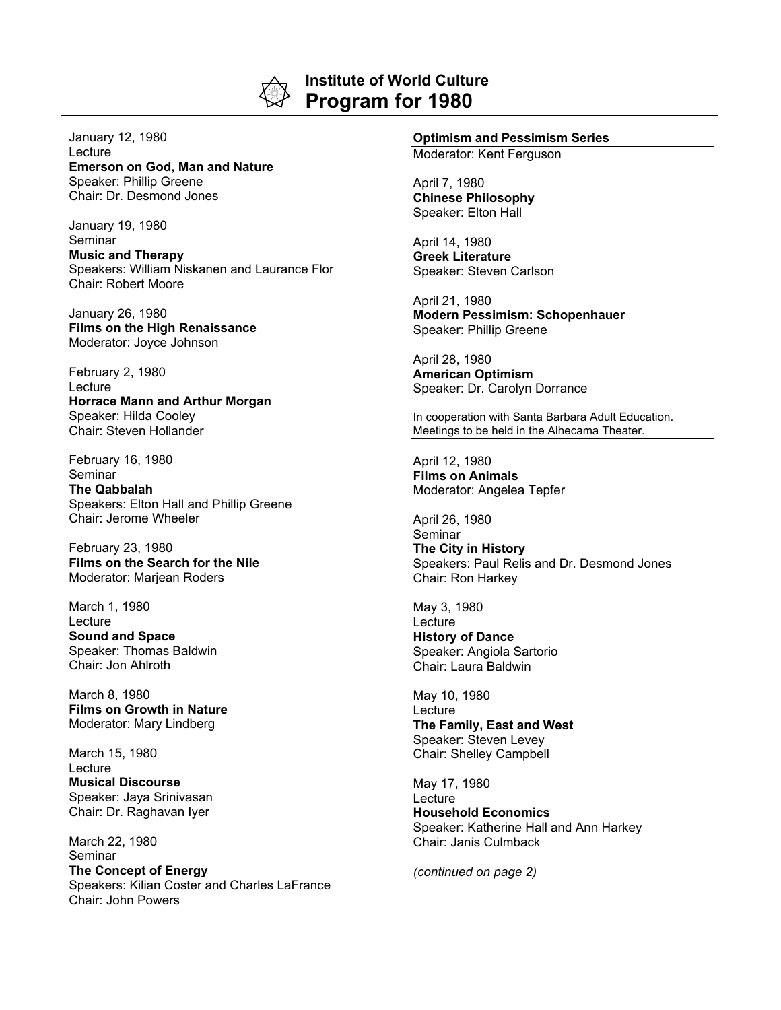

## **Institute of World Culture Program for 1980**

January 12, 1980 Lecture **Emerson on God, Man and Nature** Speaker: Phillip Greene Chair: Dr. Desmond Jones

January 19, 1980 Seminar **Music and Therapy** Speakers: William Niskanen and Laurance Flor Chair: Robert Moore

January 26, 1980 **Films on the High Renaissance** Moderator: Joyce Johnson

February 2, 1980 Lecture **Horrace Mann and Arthur Morgan** Speaker: Hilda Cooley Chair: Steven Hollander

February 16, 1980 Seminar **The Qabbalah**

Speakers: Elton Hall and Phillip Greene Chair: Jerome Wheeler

February 23, 1980 **Films on the Search for the Nile** Moderator: Marjean Roders

March 1, 1980 Lecture **Sound and Space** Speaker: Thomas Baldwin Chair: Jon Ahlroth

March 8, 1980 **Films on Growth in Nature** Moderator: Mary Lindberg

March 15, 1980 Lecture **Musical Discourse** Speaker: Jaya Srinivasan Chair: Dr. Raghavan Iyer

March 22, 1980 Seminar **The Concept of Energy** Speakers: Kilian Coster and Charles LaFrance Chair: John Powers

## **Optimism and Pessimism Series**

Moderator: Kent Ferguson

April 7, 1980 **Chinese Philosophy** Speaker: Elton Hall

April 14, 1980 **Greek Literature** Speaker: Steven Carlson

April 21, 1980 **Modern Pessimism: Schopenhauer** Speaker: Phillip Greene

April 28, 1980 **American Optimism** Speaker: Dr. Carolyn Dorrance

In cooperation with Santa Barbara Adult Education. Meetings to be held in the Alhecama Theater.

April 12, 1980 **Films on Animals** Moderator: Angelea Tepfer

April 26, 1980 **Seminar** 

**The City in History** Speakers: Paul Relis and Dr. Desmond Jones Chair: Ron Harkey

May 3, 1980 **Lecture History of Dance** Speaker: Angiola Sartorio Chair: Laura Baldwin

May 10, 1980 Lecture **The Family, East and West** Speaker: Steven Levey Chair: Shelley Campbell

May 17, 1980 Lecture **Household Economics** Speaker: Katherine Hall and Ann Harkey Chair: Janis Culmback

*(continued on page 2)*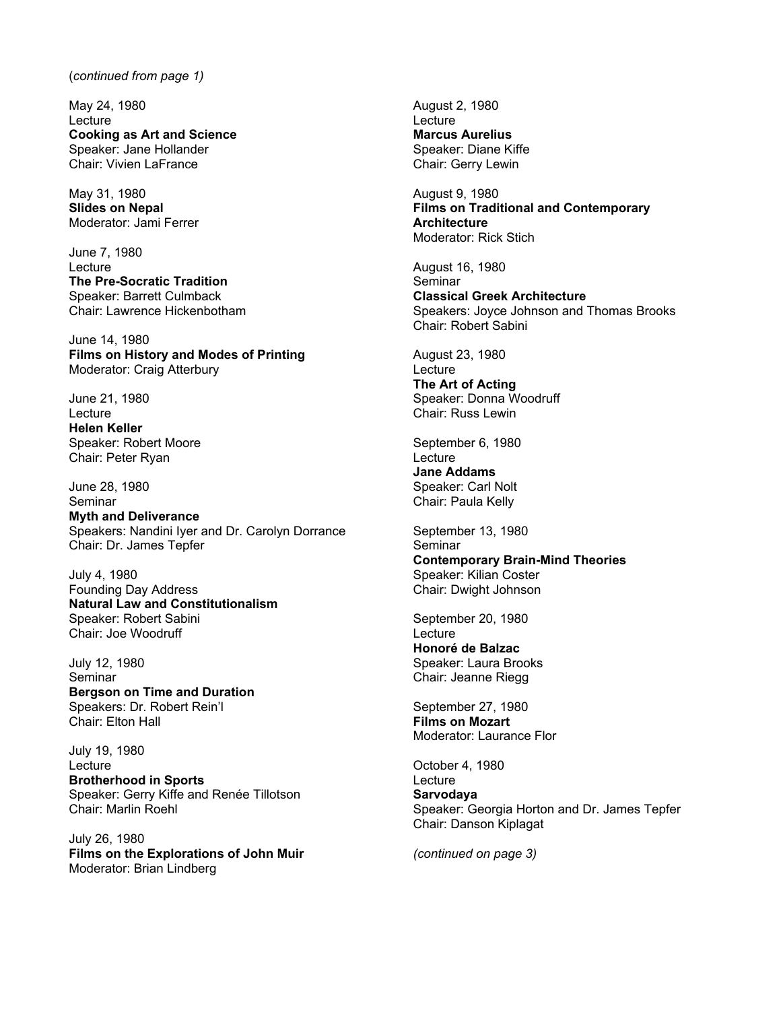## (*continued from page 1)*

May 24, 1980 Lecture **Cooking as Art and Science** Speaker: Jane Hollander Chair: Vivien LaFrance

May 31, 1980 **Slides on Nepal** Moderator: Jami Ferrer

June 7, 1980 **Lecture The Pre-Socratic Tradition** Speaker: Barrett Culmback Chair: Lawrence Hickenbotham

June 14, 1980 **Films on History and Modes of Printing** Moderator: Craig Atterbury

June 21, 1980 Lecture **Helen Keller** Speaker: Robert Moore Chair: Peter Ryan

June 28, 1980 Seminar **Myth and Deliverance** Speakers: Nandini Iyer and Dr. Carolyn Dorrance Chair: Dr. James Tepfer

July 4, 1980 Founding Day Address **Natural Law and Constitutionalism** Speaker: Robert Sabini Chair: Joe Woodruff

July 12, 1980 Seminar **Bergson on Time and Duration** Speakers: Dr. Robert Rein'l Chair: Elton Hall

July 19, 1980 Lecture **Brotherhood in Sports** Speaker: Gerry Kiffe and Renée Tillotson Chair: Marlin Roehl

July 26, 1980 **Films on the Explorations of John Muir** Moderator: Brian Lindberg

August 2, 1980 **Lecture Marcus Aurelius** Speaker: Diane Kiffe Chair: Gerry Lewin

August 9, 1980 **Films on Traditional and Contemporary Architecture** Moderator: Rick Stich

August 16, 1980 Seminar **Classical Greek Architecture** Speakers: Joyce Johnson and Thomas Brooks Chair: Robert Sabini

August 23, 1980 **Lecture** 

**The Art of Acting** Speaker: Donna Woodruff Chair: Russ Lewin

September 6, 1980 **Lecture Jane Addams** Speaker: Carl Nolt Chair: Paula Kelly

September 13, 1980 **Seminar Contemporary Brain-Mind Theories** Speaker: Kilian Coster Chair: Dwight Johnson

September 20, 1980 **Lecture Honoré de Balzac** Speaker: Laura Brooks Chair: Jeanne Riegg

September 27, 1980 **Films on Mozart** Moderator: Laurance Flor

October 4, 1980 **Lecture Sarvodaya** Speaker: Georgia Horton and Dr. James Tepfer Chair: Danson Kiplagat

*(continued on page 3)*